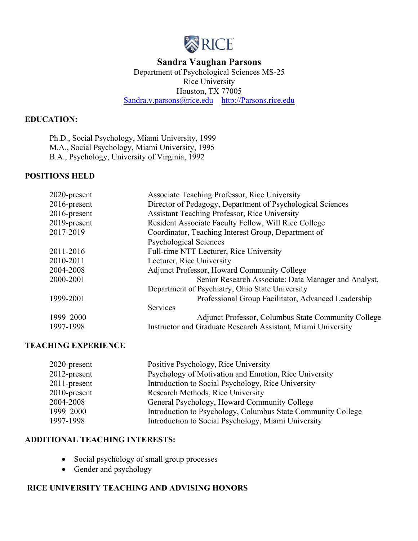

## Department of Psychological Sciences MS-25 [Sandra.v.parsons@rice.edu](mailto:Sandra.v.parsons@rice.edu) http://Parsons.rice.edu **Sandra Vaughan Parsons**  Rice University Houston, TX 77005

#### **EDUCATION:**

Ph.D., Social Psychology, Miami University, 1999 M.A., Social Psychology, Miami University, 1995 B.A., Psychology, University of Virginia, 1992

#### **POSITIONS HELD**

| 2020-present | Associate Teaching Professor, Rice University                |
|--------------|--------------------------------------------------------------|
| 2016-present | Director of Pedagogy, Department of Psychological Sciences   |
| 2016-present | Assistant Teaching Professor, Rice University                |
| 2019-present | Resident Associate Faculty Fellow, Will Rice College         |
| 2017-2019    | Coordinator, Teaching Interest Group, Department of          |
|              | <b>Psychological Sciences</b>                                |
| 2011-2016    | Full-time NTT Lecturer, Rice University                      |
| 2010-2011    | Lecturer, Rice University                                    |
| 2004-2008    | <b>Adjunct Professor, Howard Community College</b>           |
| 2000-2001    | Senior Research Associate: Data Manager and Analyst,         |
|              | Department of Psychiatry, Ohio State University              |
| 1999-2001    | Professional Group Facilitator, Advanced Leadership          |
|              | Services                                                     |
| 1999-2000    | Adjunct Professor, Columbus State Community College          |
| 1997-1998    | Instructor and Graduate Research Assistant, Miami University |

#### **TEACHING EXPERIENCE**

| 2020-present    | Positive Psychology, Rice University                         |
|-----------------|--------------------------------------------------------------|
| 2012-present    | Psychology of Motivation and Emotion, Rice University        |
| 2011-present    | Introduction to Social Psychology, Rice University           |
| $2010$ -present | Research Methods, Rice University                            |
| 2004-2008       | General Psychology, Howard Community College                 |
| 1999-2000       | Introduction to Psychology, Columbus State Community College |
| 1997-1998       | Introduction to Social Psychology, Miami University          |

## **ADDITIONAL TEACHING INTERESTS:**

- Social psychology of small group processes
- Gender and psychology

#### **RICE UNIVERSITY TEACHING AND ADVISING HONORS**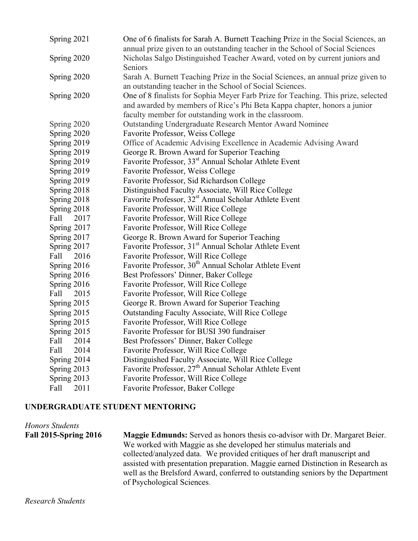| Spring 2021  | One of 6 finalists for Sarah A. Burnett Teaching Prize in the Social Sciences, an |
|--------------|-----------------------------------------------------------------------------------|
|              | annual prize given to an outstanding teacher in the School of Social Sciences     |
| Spring 2020  | Nicholas Salgo Distinguished Teacher Award, voted on by current juniors and       |
|              | Seniors                                                                           |
| Spring 2020  | Sarah A. Burnett Teaching Prize in the Social Sciences, an annual prize given to  |
|              | an outstanding teacher in the School of Social Sciences.                          |
| Spring 2020  | One of 8 finalists for Sophia Meyer Farb Prize for Teaching. This prize, selected |
|              | and awarded by members of Rice's Phi Beta Kappa chapter, honors a junior          |
|              | faculty member for outstanding work in the classroom.                             |
| Spring 2020  | Outstanding Undergraduate Research Mentor Award Nominee                           |
| Spring 2020  | Favorite Professor, Weiss College                                                 |
| Spring 2019  | Office of Academic Advising Excellence in Academic Advising Award                 |
| Spring 2019  | George R. Brown Award for Superior Teaching                                       |
| Spring 2019  | Favorite Professor, 33 <sup>st</sup> Annual Scholar Athlete Event                 |
| Spring 2019  | Favorite Professor, Weiss College                                                 |
| Spring 2019  | Favorite Professor, Sid Richardson College                                        |
| Spring 2018  | Distinguished Faculty Associate, Will Rice College                                |
| Spring 2018  | Favorite Professor, 32 <sup>st</sup> Annual Scholar Athlete Event                 |
| Spring 2018  | Favorite Professor, Will Rice College                                             |
| Fall<br>2017 | Favorite Professor, Will Rice College                                             |
| Spring 2017  | Favorite Professor, Will Rice College                                             |
| Spring 2017  | George R. Brown Award for Superior Teaching                                       |
| Spring 2017  | Favorite Professor, 31 <sup>st</sup> Annual Scholar Athlete Event                 |
| Fall<br>2016 | Favorite Professor, Will Rice College                                             |
| Spring 2016  | Favorite Professor, 30 <sup>th</sup> Annual Scholar Athlete Event                 |
| Spring 2016  | Best Professors' Dinner, Baker College                                            |
| Spring 2016  | Favorite Professor, Will Rice College                                             |
| Fall<br>2015 | Favorite Professor, Will Rice College                                             |
| Spring 2015  | George R. Brown Award for Superior Teaching                                       |
| Spring 2015  | Outstanding Faculty Associate, Will Rice College                                  |
| Spring 2015  | Favorite Professor, Will Rice College                                             |
| Spring 2015  | Favorite Professor for BUSI 390 fundraiser                                        |
| Fall<br>2014 | Best Professors' Dinner, Baker College                                            |
| Fall<br>2014 | Favorite Professor, Will Rice College                                             |
| Spring 2014  | Distinguished Faculty Associate, Will Rice College                                |
| Spring 2013  | Favorite Professor, 27 <sup>th</sup> Annual Scholar Athlete Event                 |
| Spring 2013  | Favorite Professor, Will Rice College                                             |
| Fall<br>2011 | Favorite Professor, Baker College                                                 |

## **UNDERGRADUATE STUDENT MENTORING**

**Fall 2015-Spring 2016**  well as the Brelsford Award, conferred to outstanding seniors by the Department of Psychological Sciences. *Honors Students*  **Fall 2015-Spring 2016 Maggie Edmunds:** Served as honors thesis co-advisor with Dr. Margaret Beier. We worked with Maggie as she developed her stimulus materials and collected/analyzed data. We provided critiques of her draft manuscript and assisted with presentation preparation. Maggie earned Distinction in Research as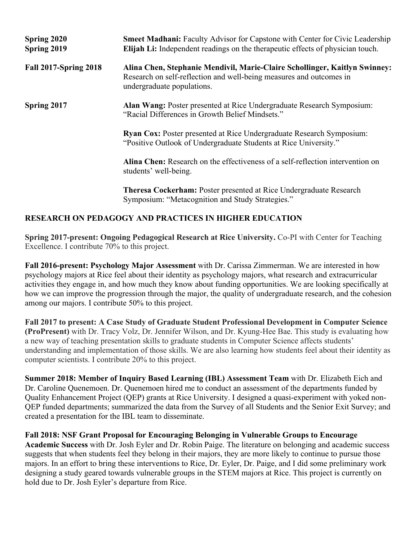| Spring 2020<br>Spring 2019   | <b>Smeet Madhani:</b> Faculty Advisor for Capstone with Center for Civic Leadership<br><b>Elijah Li:</b> Independent readings on the therapeutic effects of physician touch.    |
|------------------------------|---------------------------------------------------------------------------------------------------------------------------------------------------------------------------------|
| <b>Fall 2017-Spring 2018</b> | Alina Chen, Stephanie Mendivil, Marie-Claire Schollinger, Kaitlyn Swinney:<br>Research on self-reflection and well-being measures and outcomes in<br>undergraduate populations. |
| Spring 2017                  | Alan Wang: Poster presented at Rice Undergraduate Research Symposium:<br>"Racial Differences in Growth Belief Mindsets."                                                        |
|                              | <b>Ryan Cox:</b> Poster presented at Rice Undergraduate Research Symposium:<br>"Positive Outlook of Undergraduate Students at Rice University."                                 |
|                              | Alina Chen: Research on the effectiveness of a self-reflection intervention on<br>students' well-being.                                                                         |
|                              | <b>Theresa Cockerham: Poster presented at Rice Undergraduate Research</b><br>Symposium: "Metacognition and Study Strategies."                                                   |

#### **RESEARCH ON PEDAGOGY AND PRACTICES IN HIGHER EDUCATION**

**Spring 2017-present: Ongoing Pedagogical Research at Rice University.** Co-PI with Center for Teaching Excellence. I contribute 70% to this project.

**Fall 2016-present: Psychology Major Assessment** with Dr. Carissa Zimmerman. We are interested in how psychology majors at Rice feel about their identity as psychology majors, what research and extracurricular activities they engage in, and how much they know about funding opportunities. We are looking specifically at how we can improve the progression through the major, the quality of undergraduate research, and the cohesion among our majors. I contribute 50% to this project.

 **Fall 2017 to present: A Case Study of Graduate Student Professional Development in Computer Science (ProPresent)** with Dr. Tracy Volz, Dr. Jennifer Wilson, and Dr. Kyung-Hee Bae. This study is evaluating how computer scientists. I contribute 20% to this project. a new way of teaching presentation skills to graduate students in Computer Science affects students' understanding and implementation of those skills. We are also learning how students feel about their identity as

 **Summer 2018: Member of Inquiry Based Learning (IBL) Assessment Team** with Dr. Elizabeth Eich and Dr. Caroline Quenemoen. Dr. Quenemoen hired me to conduct an assessment of the departments funded by Quality Enhancement Project (QEP) grants at Rice University. I designed a quasi-experiment with yoked non-QEP funded departments; summarized the data from the Survey of all Students and the Senior Exit Survey; and created a presentation for the IBL team to disseminate.

 **Fall 2018: NSF Grant Proposal for Encouraging Belonging in Vulnerable Groups to Encourage Academic Success** with Dr. Josh Eyler and Dr. Robin Paige. The literature on belonging and academic success suggests that when students feel they belong in their majors, they are more likely to continue to pursue those majors. In an effort to bring these interventions to Rice, Dr. Eyler, Dr. Paige, and I did some preliminary work designing a study geared towards vulnerable groups in the STEM majors at Rice. This project is currently on hold due to Dr. Josh Eyler's departure from Rice.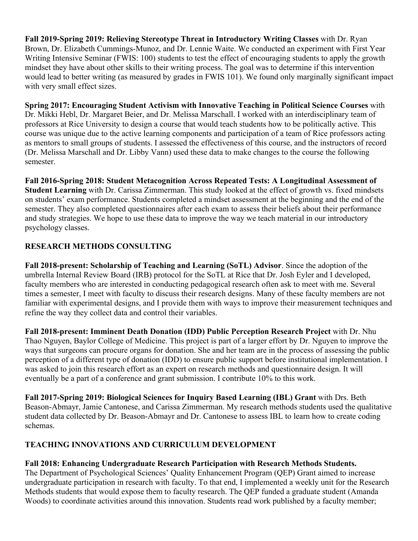**Fall 2019-Spring 2019: Relieving Stereotype Threat in Introductory Writing Classes** with Dr. Ryan Brown, Dr. Elizabeth Cummings-Munoz, and Dr. Lennie Waite. We conducted an experiment with First Year Writing Intensive Seminar (FWIS: 100) students to test the effect of encouraging students to apply the growth mindset they have about other skills to their writing process. The goal was to determine if this intervention would lead to better writing (as measured by grades in FWIS 101). We found only marginally significant impact with very small effect sizes.

 **Spring 2017: Encouraging Student Activism with Innovative Teaching in Political Science Courses** with Dr. Mikki Hebl, Dr. Margaret Beier, and Dr. Melissa Marschall. I worked with an interdisciplinary team of professors at Rice University to design a course that would teach students how to be politically active. This course was unique due to the active learning components and participation of a team of Rice professors acting as mentors to small groups of students. I assessed the effectiveness of this course, and the instructors of record (Dr. Melissa Marschall and Dr. Libby Vann) used these data to make changes to the course the following semester.

 on students' exam performance. Students completed a mindset assessment at the beginning and the end of the psychology classes. **Fall 2016-Spring 2018: Student Metacognition Across Repeated Tests: A Longitudinal Assessment of Student Learning** with Dr. Carissa Zimmerman. This study looked at the effect of growth vs. fixed mindsets semester. They also completed questionnaires after each exam to assess their beliefs about their performance and study strategies. We hope to use these data to improve the way we teach material in our introductory

# **RESEARCH METHODS CONSULTING**

 umbrella Internal Review Board (IRB) protocol for the SoTL at Rice that Dr. Josh Eyler and I developed, **Fall 2018-present: Scholarship of Teaching and Learning (SoTL) Advisor**. Since the adoption of the faculty members who are interested in conducting pedagogical research often ask to meet with me. Several times a semester, I meet with faculty to discuss their research designs. Many of these faculty members are not familiar with experimental designs, and I provide them with ways to improve their measurement techniques and refine the way they collect data and control their variables.

 **Fall 2018-present: Imminent Death Donation (IDD) Public Perception Research Project** with Dr. Nhu Thao Nguyen, Baylor College of Medicine. This project is part of a larger effort by Dr. Nguyen to improve the ways that surgeons can procure organs for donation. She and her team are in the process of assessing the public perception of a different type of donation (IDD) to ensure public support before institutional implementation. I was asked to join this research effort as an expert on research methods and questionnaire design. It will eventually be a part of a conference and grant submission. I contribute 10% to this work.

 Beason-Abmayr, Jamie Cantonese, and Carissa Zimmerman. My research methods students used the qualitative student data collected by Dr. Beason-Abmayr and Dr. Cantonese to assess IBL to learn how to create coding **Fall 2017-Spring 2019: Biological Sciences for Inquiry Based Learning (IBL) Grant** with Drs. Beth schemas.

## **TEACHING INNOVATIONS AND CURRICULUM DEVELOPMENT**

## **Fall 2018: Enhancing Undergraduate Research Participation with Research Methods Students.**

The Department of Psychological Sciences' Quality Enhancement Program (QEP) Grant aimed to increase The Department of Psychological Sciences' Quality Enhancement Program (QEP) Grant aimed to increase undergraduate participation in research with faculty. To that end, I implemented a weekly unit for the Research Methods students that would expose them to faculty research. The QEP funded a graduate student (Amanda Woods) to coordinate activities around this innovation. Students read work published by a faculty member;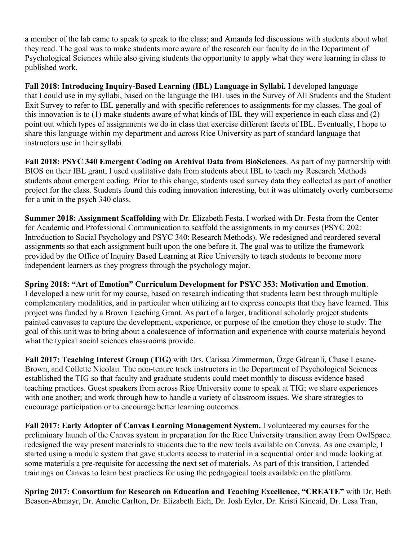a member of the lab came to speak to speak to the class; and Amanda led discussions with students about what they read. The goal was to make students more aware of the research our faculty do in the Department of Psychological Sciences while also giving students the opportunity to apply what they were learning in class to published work.

Fall 2018: Introducing Inquiry-Based Learning (IBL) Language in Syllabi. I developed language share this language within my department and across Rice University as part of standard language that Fall 2018: Introducing Inquiry-Based Learning (IBL) Language in Syllabi. I developed language<br>that I could use in my syllabi, based on the language the IBL uses in the Survey of All Students and the Student<br>Exit Survey to this innovation is to (1) make students aware of what kinds of IBL they will experience in each class and (2) point out which types of assignments we do in class that exercise different facets of IBL. Eventually, I hope to instructors use in their syllabi.

 for a unit in the psych 340 class. **Fall 2018: PSYC 340 Emergent Coding on Archival Data from BioSciences**. As part of my partnership with BIOS on their IBL grant, I used qualitative data from students about IBL to teach my Research Methods students about emergent coding. Prior to this change, students used survey data they collected as part of another project for the class. Students found this coding innovation interesting, but it was ultimately overly cumbersome

for Academic and Professional Communication to scaffold the assignments in my courses (PSYC 202: provided by the Office of Inquiry Based Learning at Rice University to teach students to become more independent learners as they progress through the psychology major. **Summer 2018: Assignment Scaffolding** with Dr. Elizabeth Festa. I worked with Dr. Festa from the Center for Academic and Professional Communication to scaffold the assignments in my courses (PSYC 202:<br>Introduction to Social Psychology and PSYC 340: Research Methods). We redesigned and reordered several<br>assignments so that ea

### **Spring 2018: "Art of Emotion" Curriculum Development for PSYC 353: Motivation and Emotion**.

I developed a new unit for my course, based on research indicating that students learn best through multiple project was funded by a Brown Teaching Grant. As part of a larger, traditional scholarly project students painted canvases to capture the development, experience, or purpose of the emotion they chose to study. The complementary modalities, and in particular when utilizing art to express concepts that they have learned. This painted canvases to capture the development, experience, or purpose of the emotion they chose to study. The goal of this unit was to bring about a coalescence of information and experience with course materials beyond what

**Fall 2017: Teaching Interest Group (TIG)** with Drs. Carissa Zimmerman, Özge Gürcanli, Chase Lesane-Brown, and Collette Nicolau. The non-tenure track instructors in the Department of Psychological Sciences established the TIG so that faculty and graduate students could meet monthly to discuss evidence based teaching practices. Guest speakers from across Rice University come to speak at TIG; we share experiences with one another; and work through how to handle a variety of classroom issues. We share strategies to encourage participation or to encourage better learning outcomes.

 **Fall 2017: Early Adopter of Canvas Learning Management System.** I volunteered my courses for the started using a module system that gave students access to material in a sequential order and made looking at some materials a pre-requisite for accessing the next set of materials. As part of this transition, I attended preliminary launch of the Canvas system in preparation for the Rice University transition away from OwlSpace. redesigned the way present materials to students due to the new tools available on Canvas. As one example, I trainings on Canvas to learn best practices for using the pedagogical tools available on the platform.

**Spring 2017: Consortium for Research on Education and Teaching Excellence, "CREATE"** with Dr. Beth Beason-Abmayr, Dr. Amelie Carlton, Dr. Elizabeth Eich, Dr. Josh Eyler, Dr. Kristi Kincaid, Dr. Lesa Tran,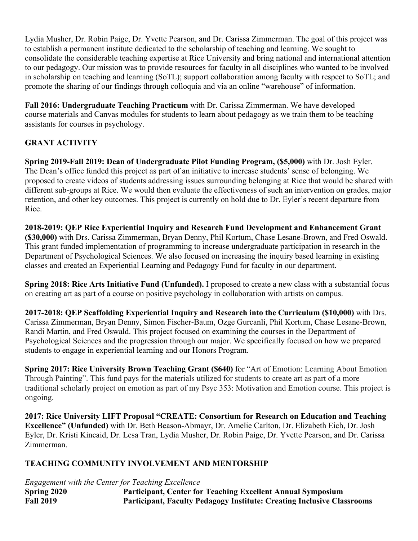to establish a permanent institute dedicated to the scholarship of teaching and learning. We sought to Lydia Musher, Dr. Robin Paige, Dr. Yvette Pearson, and Dr. Carissa Zimmerman. The goal of this project was consolidate the considerable teaching expertise at Rice University and bring national and international attention to our pedagogy. Our mission was to provide resources for faculty in all disciplines who wanted to be involved in scholarship on teaching and learning (SoTL); support collaboration among faculty with respect to SoTL; and promote the sharing of our findings through colloquia and via an online "warehouse" of information.

**Fall 2016: Undergraduate Teaching Practicum** with Dr. Carissa Zimmerman. We have developed course materials and Canvas modules for students to learn about pedagogy as we train them to be teaching assistants for courses in psychology.

# **GRANT ACTIVITY**

Spring 2019-Fall 2019: Dean of Undergraduate Pilot Funding Program, (\$5,000) with Dr. Josh Eyler. **Spring 2019-Fall 2019: Dean of Undergraduate Pilot Funding Program, (\$5,000)** with Dr. Josh Eyler. The Dean's office funded this project as part of an initiative to increase students' sense of belonging. We proposed to create videos of students addressing issues surrounding belonging at Rice that would be shared with different sub-groups at Rice. We would then evaluate the effectiveness of such an intervention on grades, major retention, and other key outcomes. This project is currently on hold due to Dr. Eyler's recent departure from Rice.

**2018-2019: QEP Rice Experiential Inquiry and Research Fund Development and Enhancement Grant (\$30,000)** with Drs. Carissa Zimmerman, Bryan Denny, Phil Kortum, Chase Lesane-Brown, and Fred Oswald. This grant funded implementation of programming to increase undergraduate participation in research in the Department of Psychological Sciences. We also focused on increasing the inquiry based learning in existing classes and created an Experiential Learning and Pedagogy Fund for faculty in our department.

 **Spring 2018: Rice Arts Initiative Fund (Unfunded).** I proposed to create a new class with a substantial focus on creating art as part of a course on positive psychology in collaboration with artists on campus.

 **2017-2018: QEP Scaffolding Experiential Inquiry and Research into the Curriculum (\$10,000)** with Drs. Randi Martin, and Fred Oswald. This project focused on examining the courses in the Department of students to engage in experiential learning and our Honors Program. Carissa Zimmerman, Bryan Denny, Simon Fischer-Baum, Ozge Gurcanli, Phil Kortum, Chase Lesane-Brown, Psychological Sciences and the progression through our major. We specifically focused on how we prepared

 **Spring 2017: Rice University Brown Teaching Grant (\$640)** for "Art of Emotion: Learning About Emotion Through Painting". This fund pays for the materials utilized for students to create art as part of a more traditional scholarly project on emotion as part of my Psyc 353: Motivation and Emotion course. This project is ongoing.

 **Excellence" (Unfunded)** with Dr. Beth Beason-Abmayr, Dr. Amelie Carlton, Dr. Elizabeth Eich, Dr. Josh Eyler, Dr. Kristi Kincaid, Dr. Lesa Tran, Lydia Musher, Dr. Robin Paige, Dr. Yvette Pearson, and Dr. Carissa Zimmerman. **2017: Rice University LIFT Proposal "CREATE: Consortium for Research on Education and Teaching** 

## **TEACHING COMMUNITY INVOLVEMENT AND MENTORSHIP**

 *Engagement with the Center for Teaching Excellence* 

**Spring 2020 Participant, Center for Teaching Excellent Annual Symposium Fall 2019 Participant, Faculty Pedagogy Institute: Creating Inclusive Classrooms**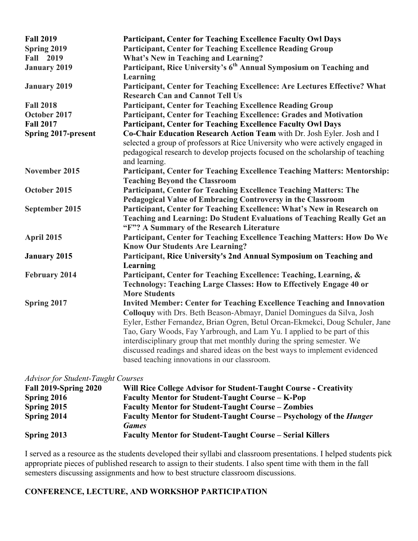| <b>Fall 2019</b>           | Participant, Center for Teaching Excellence Faculty Owl Days                    |
|----------------------------|---------------------------------------------------------------------------------|
| Spring 2019                | <b>Participant, Center for Teaching Excellence Reading Group</b>                |
| <b>Fall 2019</b>           | <b>What's New in Teaching and Learning?</b>                                     |
| <b>January 2019</b>        | Participant, Rice University's 6 <sup>th</sup> Annual Symposium on Teaching and |
|                            | Learning                                                                        |
| <b>January 2019</b>        | Participant, Center for Teaching Excellence: Are Lectures Effective? What       |
|                            | <b>Research Can and Cannot Tell Us</b>                                          |
| <b>Fall 2018</b>           | <b>Participant, Center for Teaching Excellence Reading Group</b>                |
| October 2017               | Participant, Center for Teaching Excellence: Grades and Motivation              |
| <b>Fall 2017</b>           | Participant, Center for Teaching Excellence Faculty Owl Days                    |
| <b>Spring 2017-present</b> | Co-Chair Education Research Action Team with Dr. Josh Eyler. Josh and I         |
|                            | selected a group of professors at Rice University who were actively engaged in  |
|                            | pedagogical research to develop projects focused on the scholarship of teaching |
|                            | and learning.                                                                   |
| November 2015              | Participant, Center for Teaching Excellence Teaching Matters: Mentorship:       |
|                            | <b>Teaching Beyond the Classroom</b>                                            |
| October 2015               | Participant, Center for Teaching Excellence Teaching Matters: The               |
|                            | Pedagogical Value of Embracing Controversy in the Classroom                     |
| September 2015             | Participant, Center for Teaching Excellence: What's New in Research on          |
|                            | Teaching and Learning: Do Student Evaluations of Teaching Really Get an         |
|                            | "F"? A Summary of the Research Literature                                       |
| April 2015                 | Participant, Center for Teaching Excellence Teaching Matters: How Do We         |
|                            | <b>Know Our Students Are Learning?</b>                                          |
| <b>January 2015</b>        | Participant, Rice University's 2nd Annual Symposium on Teaching and             |
|                            | Learning                                                                        |
| <b>February 2014</b>       | Participant, Center for Teaching Excellence: Teaching, Learning, &              |
|                            | Technology: Teaching Large Classes: How to Effectively Engage 40 or             |
|                            | <b>More Students</b>                                                            |
| Spring 2017                | <b>Invited Member: Center for Teaching Excellence Teaching and Innovation</b>   |
|                            | Colloquy with Drs. Beth Beason-Abmayr, Daniel Domingues da Silva, Josh          |
|                            | Eyler, Esther Fernandez, Brian Ogren, Betul Orcan-Ekmekci, Doug Schuler, Jane   |
|                            | Tao, Gary Woods, Fay Yarbrough, and Lam Yu. I applied to be part of this        |
|                            | interdisciplinary group that met monthly during the spring semester. We         |
|                            | discussed readings and shared ideas on the best ways to implement evidenced     |
|                            | based teaching innovations in our classroom.                                    |

#### *Advisor for Student-Taught Courses*

| <b>Fall 2019-Spring 2020</b> | Will Rice College Advisor for Student-Taught Course - Creativity           |
|------------------------------|----------------------------------------------------------------------------|
| Spring 2016                  | <b>Faculty Mentor for Student-Taught Course – K-Pop</b>                    |
| Spring 2015                  | <b>Faculty Mentor for Student-Taught Course – Zombies</b>                  |
| Spring 2014                  | <b>Faculty Mentor for Student-Taught Course – Psychology of the Hunger</b> |
|                              | <b>Games</b>                                                               |
| Spring 2013                  | <b>Faculty Mentor for Student-Taught Course – Serial Killers</b>           |

I served as a resource as the students developed their syllabi and classroom presentations. I helped students pick appropriate pieces of published research to assign to their students. I also spent time with them in the fall semesters discussing assignments and how to best structure classroom discussions.

## **CONFERENCE, LECTURE, AND WORKSHOP PARTICIPATION**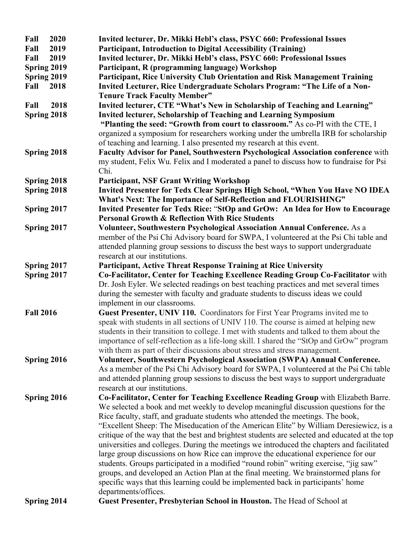| Fall             | 2020 | Invited lecturer, Dr. Mikki Hebl's class, PSYC 660: Professional Issues                         |
|------------------|------|-------------------------------------------------------------------------------------------------|
| Fall             | 2019 | <b>Participant, Introduction to Digital Accessibility (Training)</b>                            |
| Fall             | 2019 | Invited lecturer, Dr. Mikki Hebl's class, PSYC 660: Professional Issues                         |
| Spring 2019      |      | Participant, R (programming language) Workshop                                                  |
| Spring 2019      |      | Participant, Rice University Club Orientation and Risk Management Training                      |
| Fall             | 2018 | Invited Lecturer, Rice Undergraduate Scholars Program: "The Life of a Non-                      |
|                  |      | <b>Tenure Track Faculty Member"</b>                                                             |
| Fall             | 2018 | Invited lecturer, CTE "What's New in Scholarship of Teaching and Learning"                      |
| Spring 2018      |      | <b>Invited lecturer, Scholarship of Teaching and Learning Symposium</b>                         |
|                  |      | "Planting the seed: "Growth from court to classroom." As co-PI with the CTE, I                  |
|                  |      | organized a symposium for researchers working under the umbrella IRB for scholarship            |
|                  |      | of teaching and learning. I also presented my research at this event.                           |
| Spring 2018      |      | Faculty Advisor for Panel, Southwestern Psychological Association conference with               |
|                  |      | my student, Felix Wu. Felix and I moderated a panel to discuss how to fundraise for Psi<br>Chi. |
| Spring 2018      |      | <b>Participant, NSF Grant Writing Workshop</b>                                                  |
| Spring 2018      |      | Invited Presenter for Tedx Clear Springs High School, "When You Have NO IDEA                    |
|                  |      | What's Next: The Importance of Self-Reflection and FLOURISHING"                                 |
| Spring 2017      |      | Invited Presenter for Tedx Rice: "StOp and GrOw: An Idea for How to Encourage                   |
|                  |      | <b>Personal Growth &amp; Reflection With Rice Students</b>                                      |
| Spring 2017      |      | Volunteer, Southwestern Psychological Association Annual Conference. As a                       |
|                  |      | member of the Psi Chi Advisory board for SWPA, I volunteered at the Psi Chi table and           |
|                  |      | attended planning group sessions to discuss the best ways to support undergraduate              |
|                  |      | research at our institutions.                                                                   |
| Spring 2017      |      | <b>Participant, Active Threat Response Training at Rice University</b>                          |
| Spring 2017      |      | Co-Facilitator, Center for Teaching Excellence Reading Group Co-Facilitator with                |
|                  |      | Dr. Josh Eyler. We selected readings on best teaching practices and met several times           |
|                  |      | during the semester with faculty and graduate students to discuss ideas we could                |
|                  |      | implement in our classrooms.                                                                    |
| <b>Fall 2016</b> |      | Guest Presenter, UNIV 110. Coordinators for First Year Programs invited me to                   |
|                  |      | speak with students in all sections of UNIV 110. The course is aimed at helping new             |
|                  |      | students in their transition to college. I met with students and talked to them about the       |
|                  |      | importance of self-reflection as a life-long skill. I shared the "StOp and GrOw" program        |
|                  |      | with them as part of their discussions about stress and stress management.                      |
| Spring 2016      |      | Volunteer, Southwestern Psychological Association (SWPA) Annual Conference.                     |
|                  |      | As a member of the Psi Chi Advisory board for SWPA, I volunteered at the Psi Chi table          |
|                  |      | and attended planning group sessions to discuss the best ways to support undergraduate          |
|                  |      | research at our institutions.                                                                   |
| Spring 2016      |      | Co-Facilitator, Center for Teaching Excellence Reading Group with Elizabeth Barre.              |
|                  |      | We selected a book and met weekly to develop meaningful discussion questions for the            |
|                  |      | Rice faculty, staff, and graduate students who attended the meetings. The book,                 |
|                  |      | "Excellent Sheep: The Miseducation of the American Elite" by William Deresiewicz, is a          |
|                  |      | critique of the way that the best and brightest students are selected and educated at the top   |
|                  |      | universities and colleges. During the meetings we introduced the chapters and facilitated       |
|                  |      | large group discussions on how Rice can improve the educational experience for our              |
|                  |      | students. Groups participated in a modified "round robin" writing exercise, "jig saw"           |
|                  |      | groups, and developed an Action Plan at the final meeting. We brainstormed plans for            |
|                  |      | specific ways that this learning could be implemented back in participants' home                |
|                  |      | departments/offices.                                                                            |
| Spring 2014      |      | Guest Presenter, Presbyterian School in Houston. The Head of School at                          |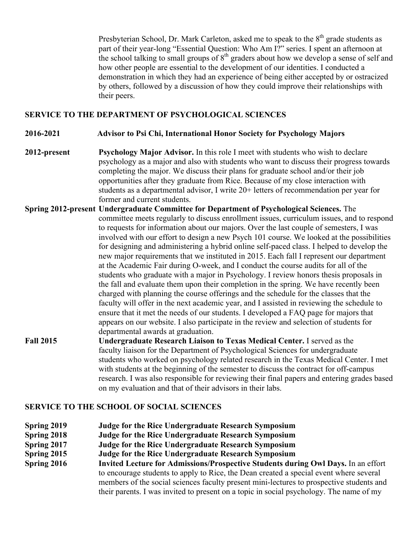Presbyterian School, Dr. Mark Carleton, asked me to speak to the 8<sup>th</sup> grade students as part of their year-long "Essential Question: Who Am I?" series. I spent an afternoon at how other people are essential to the development of our identities. I conducted a the school talking to small groups of 8<sup>th</sup> graders about how we develop a sense of self and demonstration in which they had an experience of being either accepted by or ostracized by others, followed by a discussion of how they could improve their relationships with their peers.

## **SERVICE TO THE DEPARTMENT OF PSYCHOLOGICAL SCIENCES**

#### **2016-2021 Advisor to Psi Chi, International Honor Society for Psychology Majors**

- 2012-present students as a departmental advisor, I write 20+ letters of recommendation per year for **Psychology Major Advisor.** In this role I meet with students who wish to declare psychology as a major and also with students who want to discuss their progress towards completing the major. We discuss their plans for graduate school and/or their job opportunities after they graduate from Rice. Because of my close interaction with former and current students.
- **Spring 2012-present Undergraduate Committee for Department of Psychological Sciences.** The committee meets regularly to discuss enrollment issues, curriculum issues, and to respond for designing and administering a hybrid online self-paced class. I helped to develop the appears on our website. I also participate in the review and selection of students for departmental awards at graduation. to requests for information about our majors. Over the last couple of semesters, I was involved with our effort to design a new Psych 101 course. We looked at the possibilities new major requirements that we instituted in 2015. Each fall I represent our department at the Academic Fair during O-week, and I conduct the course audits for all of the students who graduate with a major in Psychology. I review honors thesis proposals in the fall and evaluate them upon their completion in the spring. We have recently been charged with planning the course offerings and the schedule for the classes that the faculty will offer in the next academic year, and I assisted in reviewing the schedule to ensure that it met the needs of our students. I developed a FAQ page for majors that
- with students at the beginning of the semester to discuss the contract for off-campus **Fall 2015 Undergraduate Research Liaison to Texas Medical Center.** I served as the faculty liaison for the Department of Psychological Sciences for undergraduate students who worked on psychology related research in the Texas Medical Center. I met research. I was also responsible for reviewing their final papers and entering grades based on my evaluation and that of their advisors in their labs.

#### **SERVICE TO THE SCHOOL OF SOCIAL SCIENCES**

- **Spring 2019 Judge for the Rice Undergraduate Research Symposium**
- **Spring 2018 Spring 2018 Judge for the Rice Undergraduate Research Symposium**
- **Spring 2017 Spring 2017 Judge for the Rice Undergraduate Research Symposium**
- **Spring 2015 Spring 2015 Judge for the Rice Undergraduate Research Symposium**
- **Spring 2016 Spring 2016 Invited Lecture for Admissions/Prospective Students during Owl Days.** In an effort to encourage students to apply to Rice, the Dean created a special event where several members of the social sciences faculty present mini-lectures to prospective students and their parents. I was invited to present on a topic in social psychology. The name of my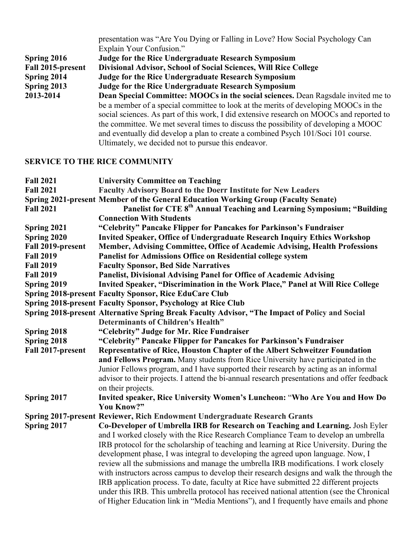|                   | presentation was "Are You Dying or Falling in Love? How Social Psychology Can            |
|-------------------|------------------------------------------------------------------------------------------|
|                   | Explain Your Confusion."                                                                 |
| Spring 2016       | Judge for the Rice Undergraduate Research Symposium                                      |
| Fall 2015-present | Divisional Advisor, School of Social Sciences, Will Rice College                         |
| Spring 2014       | <b>Judge for the Rice Undergraduate Research Symposium</b>                               |
| Spring 2013       | <b>Judge for the Rice Undergraduate Research Symposium</b>                               |
| 2013-2014         | Dean Special Committee: MOOCs in the social sciences. Dean Ragsdale invited me to        |
|                   | be a member of a special committee to look at the merits of developing MOOCs in the      |
|                   | social sciences. As part of this work, I did extensive research on MOOCs and reported to |
|                   | the committee. We met several times to discuss the possibility of developing a MOOC      |
|                   | and eventually did develop a plan to create a combined Psych 101/Soci 101 course.        |
|                   | Ultimately, we decided not to pursue this endeavor.                                      |
|                   |                                                                                          |

## **SERVICE TO THE RICE COMMUNITY**

| <b>Fall 2021</b>  | <b>University Committee on Teaching</b>                                                        |
|-------------------|------------------------------------------------------------------------------------------------|
| <b>Fall 2021</b>  | <b>Faculty Advisory Board to the Doerr Institute for New Leaders</b>                           |
|                   | Spring 2021-present Member of the General Education Working Group (Faculty Senate)             |
| <b>Fall 2021</b>  | Panelist for CTE 8 <sup>th</sup> Annual Teaching and Learning Symposium; "Building             |
|                   | <b>Connection With Students</b>                                                                |
| Spring 2021       | "Celebrity" Pancake Flipper for Pancakes for Parkinson's Fundraiser                            |
| Spring 2020       | <b>Invited Speaker, Office of Undergraduate Research Inquiry Ethics Workshop</b>               |
| Fall 2019-present | Member, Advising Committee, Office of Academic Advising, Health Professions                    |
| <b>Fall 2019</b>  | <b>Panelist for Admissions Office on Residential college system</b>                            |
| <b>Fall 2019</b>  | <b>Faculty Sponsor, Bed Side Narratives</b>                                                    |
| <b>Fall 2019</b>  | <b>Panelist, Divisional Advising Panel for Office of Academic Advising</b>                     |
| Spring 2019       | Invited Speaker, "Discrimination in the Work Place," Panel at Will Rice College                |
|                   | <b>Spring 2018-present Faculty Sponsor, Rice EduCare Club</b>                                  |
|                   | Spring 2018-present Faculty Sponsor, Psychology at Rice Club                                   |
|                   | Spring 2018-present Alternative Spring Break Faculty Advisor, "The Impact of Policy and Social |
|                   | <b>Determinants of Children's Health"</b>                                                      |
| Spring 2018       | "Celebrity" Judge for Mr. Rice Fundraiser                                                      |
| Spring 2018       | "Celebrity" Pancake Flipper for Pancakes for Parkinson's Fundraiser                            |
| Fall 2017-present | Representative of Rice, Houston Chapter of the Albert Schweitzer Foundation                    |
|                   | and Fellows Program. Many students from Rice University have participated in the               |
|                   | Junior Fellows program, and I have supported their research by acting as an informal           |
|                   | advisor to their projects. I attend the bi-annual research presentations and offer feedback    |
|                   | on their projects.                                                                             |
| Spring 2017       | Invited speaker, Rice University Women's Luncheon: "Who Are You and How Do                     |
|                   | You Know?"                                                                                     |
|                   | Spring 2017-present Reviewer, Rich Endowment Undergraduate Research Grants                     |
| Spring 2017       | Co-Developer of Umbrella IRB for Research on Teaching and Learning. Josh Eyler                 |
|                   | and I worked closely with the Rice Research Compliance Team to develop an umbrella             |
|                   | IRB protocol for the scholarship of teaching and learning at Rice University. During the       |
|                   | development phase, I was integral to developing the agreed upon language. Now, I               |
|                   | review all the submissions and manage the umbrella IRB modifications. I work closely           |
|                   | with instructors across campus to develop their research designs and walk the through the      |
|                   | IRB application process. To date, faculty at Rice have submitted 22 different projects         |
|                   | under this IRB. This umbrella protocol has received national attention (see the Chronical      |
|                   | of Higher Education link in "Media Mentions"), and I frequently have emails and phone          |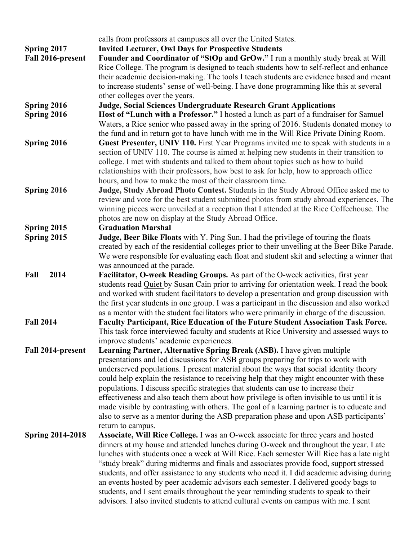|                         | calls from professors at campuses all over the United States.                                                                                                                            |
|-------------------------|------------------------------------------------------------------------------------------------------------------------------------------------------------------------------------------|
| Spring 2017             | <b>Invited Lecturer, Owl Days for Prospective Students</b>                                                                                                                               |
| Fall 2016-present       | Founder and Coordinator of "StOp and GrOw." I run a monthly study break at Will<br>Rice College. The program is designed to teach students how to self-reflect and enhance               |
|                         | their academic decision-making. The tools I teach students are evidence based and meant                                                                                                  |
|                         | to increase students' sense of well-being. I have done programming like this at several                                                                                                  |
|                         | other colleges over the years.                                                                                                                                                           |
| Spring 2016             | Judge, Social Sciences Undergraduate Research Grant Applications                                                                                                                         |
| Spring 2016             | Host of "Lunch with a Professor." I hosted a lunch as part of a fundraiser for Samuel                                                                                                    |
|                         | Waters, a Rice senior who passed away in the spring of 2016. Students donated money to                                                                                                   |
|                         | the fund and in return got to have lunch with me in the Will Rice Private Dining Room.                                                                                                   |
| Spring 2016             | Guest Presenter, UNIV 110. First Year Programs invited me to speak with students in a                                                                                                    |
|                         | section of UNIV 110. The course is aimed at helping new students in their transition to                                                                                                  |
|                         | college. I met with students and talked to them about topics such as how to build                                                                                                        |
|                         | relationships with their professors, how best to ask for help, how to approach office                                                                                                    |
|                         | hours, and how to make the most of their classroom time.                                                                                                                                 |
| Spring 2016             | Judge, Study Abroad Photo Contest. Students in the Study Abroad Office asked me to                                                                                                       |
|                         | review and vote for the best student submitted photos from study abroad experiences. The                                                                                                 |
|                         | winning pieces were unveiled at a reception that I attended at the Rice Coffeehouse. The                                                                                                 |
|                         | photos are now on display at the Study Abroad Office.                                                                                                                                    |
| Spring 2015             | <b>Graduation Marshal</b>                                                                                                                                                                |
| Spring 2015             | Judge, Beer Bike Floats with Y. Ping Sun. I had the privilege of touring the floats                                                                                                      |
|                         | created by each of the residential colleges prior to their unveiling at the Beer Bike Parade.                                                                                            |
|                         | We were responsible for evaluating each float and student skit and selecting a winner that                                                                                               |
|                         | was announced at the parade.                                                                                                                                                             |
| 2014<br>Fall            | Facilitator, O-week Reading Groups. As part of the O-week activities, first year                                                                                                         |
|                         | students read Quiet by Susan Cain prior to arriving for orientation week. I read the book                                                                                                |
|                         | and worked with student facilitators to develop a presentation and group discussion with                                                                                                 |
|                         | the first year students in one group. I was a participant in the discussion and also worked<br>as a mentor with the student facilitators who were primarily in charge of the discussion. |
| <b>Fall 2014</b>        | Faculty Participant, Rice Education of the Future Student Association Task Force.                                                                                                        |
|                         | This task force interviewed faculty and students at Rice University and assessed ways to                                                                                                 |
|                         | improve students' academic experiences.                                                                                                                                                  |
| Fall 2014-present       | Learning Partner, Alternative Spring Break (ASB). I have given multiple                                                                                                                  |
|                         | presentations and led discussions for ASB groups preparing for trips to work with                                                                                                        |
|                         | underserved populations. I present material about the ways that social identity theory                                                                                                   |
|                         | could help explain the resistance to receiving help that they might encounter with these                                                                                                 |
|                         | populations. I discuss specific strategies that students can use to increase their                                                                                                       |
|                         | effectiveness and also teach them about how privilege is often invisible to us until it is                                                                                               |
|                         | made visible by contrasting with others. The goal of a learning partner is to educate and                                                                                                |
|                         | also to serve as a mentor during the ASB preparation phase and upon ASB participants'                                                                                                    |
|                         | return to campus.                                                                                                                                                                        |
| <b>Spring 2014-2018</b> | Associate, Will Rice College. I was an O-week associate for three years and hosted                                                                                                       |
|                         | dinners at my house and attended lunches during O-week and throughout the year. I ate                                                                                                    |
|                         | lunches with students once a week at Will Rice. Each semester Will Rice has a late night                                                                                                 |
|                         | "study break" during midterms and finals and associates provide food, support stressed                                                                                                   |
|                         | students, and offer assistance to any students who need it. I did academic advising during                                                                                               |
|                         | an events hosted by peer academic advisors each semester. I delivered goody bags to                                                                                                      |
|                         | students, and I sent emails throughout the year reminding students to speak to their                                                                                                     |
|                         | advisors. I also invited students to attend cultural events on campus with me. I sent                                                                                                    |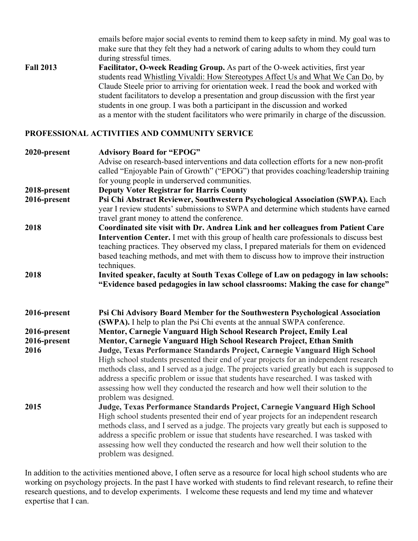emails before major social events to remind them to keep safety in mind. My goal was to make sure that they felt they had a network of caring adults to whom they could turn during stressful times.

**Fall 2013** students read Whistling Vivaldi: How Stereotypes Affect Us and What We Can Do, by as a mentor with the student facilitators who were primarily in charge of the discussion. Facilitator, O-week Reading Group. As part of the O-week activities, first year Claude Steele prior to arriving for orientation week. I read the book and worked with student facilitators to develop a presentation and group discussion with the first year students in one group. I was both a participant in the discussion and worked

### **PROFESSIONAL ACTIVITIES AND COMMUNITY SERVICE**

| 2020-present | <b>Advisory Board for "EPOG"</b><br>Advise on research-based interventions and data collection efforts for a new non-profit<br>called "Enjoyable Pain of Growth" ("EPOG") that provides coaching/leadership training<br>for young people in underserved communities.                                                                                                                                                                                                    |
|--------------|-------------------------------------------------------------------------------------------------------------------------------------------------------------------------------------------------------------------------------------------------------------------------------------------------------------------------------------------------------------------------------------------------------------------------------------------------------------------------|
| 2018-present | <b>Deputy Voter Registrar for Harris County</b>                                                                                                                                                                                                                                                                                                                                                                                                                         |
| 2016-present | Psi Chi Abstract Reviewer, Southwestern Psychological Association (SWPA). Each<br>year I review students' submissions to SWPA and determine which students have earned<br>travel grant money to attend the conference.                                                                                                                                                                                                                                                  |
| 2018         | Coordinated site visit with Dr. Andrea Link and her colleagues from Patient Care                                                                                                                                                                                                                                                                                                                                                                                        |
|              | Intervention Center. I met with this group of health care professionals to discuss best<br>teaching practices. They observed my class, I prepared materials for them on evidenced<br>based teaching methods, and met with them to discuss how to improve their instruction<br>techniques.                                                                                                                                                                               |
| 2018         | Invited speaker, faculty at South Texas College of Law on pedagogy in law schools:<br>"Evidence based pedagogies in law school classrooms: Making the case for change"                                                                                                                                                                                                                                                                                                  |
| 2016-present | Psi Chi Advisory Board Member for the Southwestern Psychological Association<br>(SWPA). I help to plan the Psi Chi events at the annual SWPA conference.                                                                                                                                                                                                                                                                                                                |
| 2016-present | Mentor, Carnegie Vanguard High School Research Project, Emily Leal                                                                                                                                                                                                                                                                                                                                                                                                      |
| 2016-present | Mentor, Carnegie Vanguard High School Research Project, Ethan Smith                                                                                                                                                                                                                                                                                                                                                                                                     |
| 2016         | Judge, Texas Performance Standards Project, Carnegie Vanguard High School<br>High school students presented their end of year projects for an independent research<br>methods class, and I served as a judge. The projects varied greatly but each is supposed to<br>address a specific problem or issue that students have researched. I was tasked with<br>assessing how well they conducted the research and how well their solution to the<br>problem was designed. |
| 2015         | Judge, Texas Performance Standards Project, Carnegie Vanguard High School<br>High school students presented their end of year projects for an independent research<br>methods class, and I served as a judge. The projects vary greatly but each is supposed to<br>address a specific problem or issue that students have researched. I was tasked with<br>assessing how well they conducted the research and how well their solution to the<br>problem was designed.   |

 research questions, and to develop experiments. I welcome these requests and lend my time and whatever expertise that I can. In addition to the activities mentioned above, I often serve as a resource for local high school students who are working on psychology projects. In the past I have worked with students to find relevant research, to refine their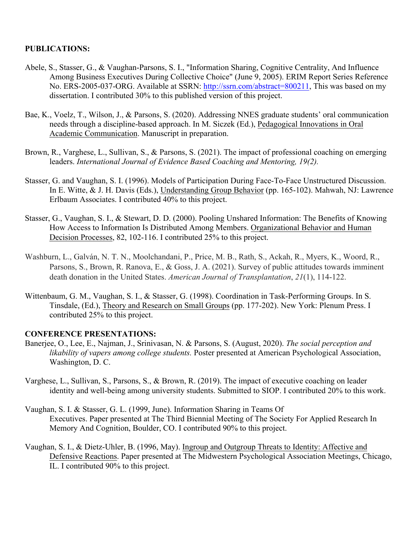## **PUBLICATIONS:**

- dissertation. I contributed 30% to this published version of this project. Abele, S., Stasser, G., & Vaughan-Parsons, S. I., "Information Sharing, Cognitive Centrality, And Influence Among Business Executives During Collective Choice" (June 9, 2005). ERIM Report Series Reference No. ERS-2005-037-ORG. Available at SSRN:<http://ssrn.com/abstract=800211>, This was based on my
- Bae, K., Voelz, T., Wilson, J., & Parsons, S. (2020). Addressing NNES graduate students' oral communication needs through a discipline-based approach. In M. Siczek (Ed.), Pedagogical Innovations in Oral Academic Communication. Manuscript in preparation.
- Brown, R., Varghese, L., Sullivan, S., & Parsons, S. (2021). The impact of professional coaching on emerging leaders. *International Journal of Evidence Based Coaching and Mentoring, 19(2).*
- Stasser, G. and Vaughan, S. I. (1996). Models of Participation During Face-To-Face Unstructured Discussion. In E. Witte, & J. H. Davis (Eds.), Understanding Group Behavior (pp. 165-102). Mahwah, NJ: Lawrence Erlbaum Associates. I contributed 40% to this project.
- Stasser, G., Vaughan, S. I., & Stewart, D. D. (2000). Pooling Unshared Information: The Benefits of Knowing How Access to Information Is Distributed Among Members. Organizational Behavior and Human Decision Processes, 82, 102-116. I contributed 25% to this project.
- Washburn, L., Galván, N. T. N., Moolchandani, P., Price, M. B., Rath, S., Ackah, R., Myers, K., Woord, R., Parsons, S., Brown, R. Ranova, E., & Goss, J. A. (2021). Survey of public attitudes towards imminent death donation in the United States. *American Journal of Transplantation*, *21*(1), 114-122.
- Wittenbaum, G. M., Vaughan, S. I., & Stasser, G. (1998). Coordination in Task-Performing Groups. In S. Tinsdale, (Ed.), Theory and Research on Small Groups (pp. 177-202). New York: Plenum Press. I contributed 25% to this project.

### **CONFERENCE PRESENTATIONS:**

- Banerjee, O., Lee, E., Najman, J., Srinivasan, N. & Parsons, S. (August, 2020). *The social perception and likability of vapers among college students.* Poster presented at American Psychological Association, Washington, D. C.
- Varghese, L., Sullivan, S., Parsons, S., & Brown, R. (2019). The impact of executive coaching on leader identity and well-being among university students. Submitted to SIOP. I contributed 20% to this work.
- Vaughan, S. I. & Stasser, G. L. (1999, June). Information Sharing in Teams Of Executives. Paper presented at The Third Biennial Meeting of The Society For Applied Research In Memory And Cognition, Boulder, CO. I contributed 90% to this project.
- Vaughan, S. I., & Dietz-Uhler, B. (1996, May). Ingroup and Outgroup Threats to Identity: Affective and Defensive Reactions. Paper presented at The Midwestern Psychological Association Meetings, Chicago, IL. I contributed 90% to this project.